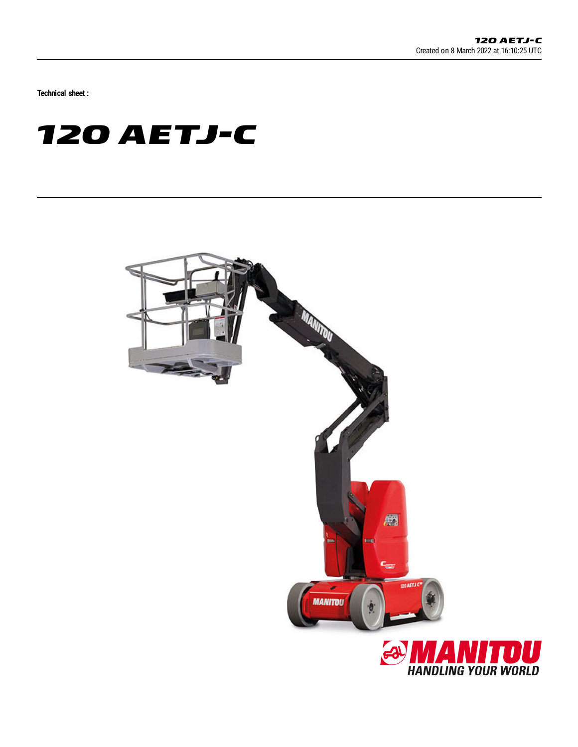Technical sheet :

# **120 AETJ-C**



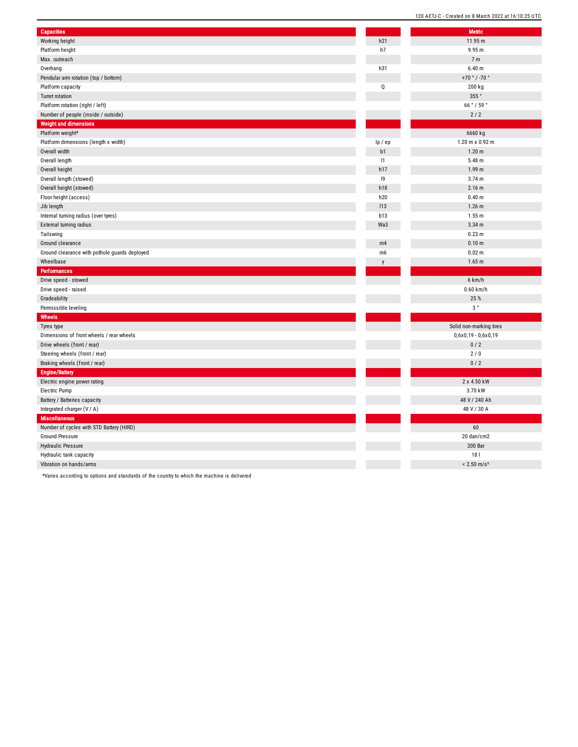| <b>Capacities</b>                             |                |
|-----------------------------------------------|----------------|
| Working height                                | h21            |
| Platform height                               | h7             |
| Max. outreach                                 |                |
| Overhang                                      | h31            |
| Pendular arm rotation (top / bottom)          |                |
| Platform capacity                             | Q              |
| <b>Turret rotation</b>                        |                |
| Platform rotation (right / left)              |                |
| Number of people (inside / outside)           |                |
| <b>Weight and dimensions</b>                  |                |
| Platform weight*                              |                |
| Platform dimensions (length x width)          | lp / ep        |
| Overall width                                 | b1             |
| Overall length                                | 1              |
| Overall height                                | h17            |
| Overall length (stowed)                       | 9              |
| Overall height (stowed)                       | h18            |
| Floor height (access)                         | h20            |
| Jib length                                    | 113            |
| Internal turning radius (over tyres)          | b13            |
| External turning radius                       | Wa3            |
| Tailswing                                     |                |
| Ground clearance                              | m4             |
| Ground clearance with pothole guards deployed | m <sub>6</sub> |
| Wheelbase                                     | y              |
| Performances                                  |                |
| Drive speed - stowed                          |                |
| Drive speed - raised                          |                |
| Gradeability                                  |                |
| Permissible leveling                          |                |
| Wheels                                        |                |
| Tyres type                                    |                |
| Dimensions of front wheels / rear wheels      |                |
| Drive wheels (front / rear)                   |                |
| Steering wheels (front / rear)                |                |
| Braking wheels (front / rear)                 |                |
| <b>Engine/Battery</b>                         |                |
| Electric engine power rating                  |                |
| Electric Pump                                 |                |
| Battery / Batteries capacity                  |                |
| Integrated charger (V / A)                    |                |
| <b>Miscellaneous</b>                          |                |
| Number of cycles with STD Battery (HIRD)      |                |
| <b>Ground Pressure</b>                        |                |
| <b>Hydraulic Pressure</b>                     |                |
| Hydraulic tank capacity                       |                |
| Vibration on hands/arms                       |                |

1 1.9 5 m

9.9 5 m

7 m

6.4 0 m

+ 7 0 ° / - 7 0 °

200 kg

355°

6 6 ° / 5 9 °

 $2/2$ 

6 6 6 0 k g

1.2 0 m x 0.9 2 m

1.2 0 m

5.4 8 m

1 8 l

 $/s<sup>2</sup>$ 

1.9 9 m 3.7 4 m 2.1 6 m 0.4 0 m 1.2 6 m 1.5 5 m 3.3 4 m 0.2 3 m 0.1 0 m 0.0 2 m 1.6 5 m 6 k m / h 0.6 0 k m / h 2 5 % 3 ° Solid non-marking tires 0,6x0,19 - 0,6x0,19  $0/2$ 2 / 0  $0/2$ 2 x 4.5 0 k W 3.7 0 k W 48 V / 240 Ah 4 8 V / 3 0 A 6 0 2 0 d a n / c m 2 200 Bar

\*Varies according to options and standards of the country to which the machine is delivered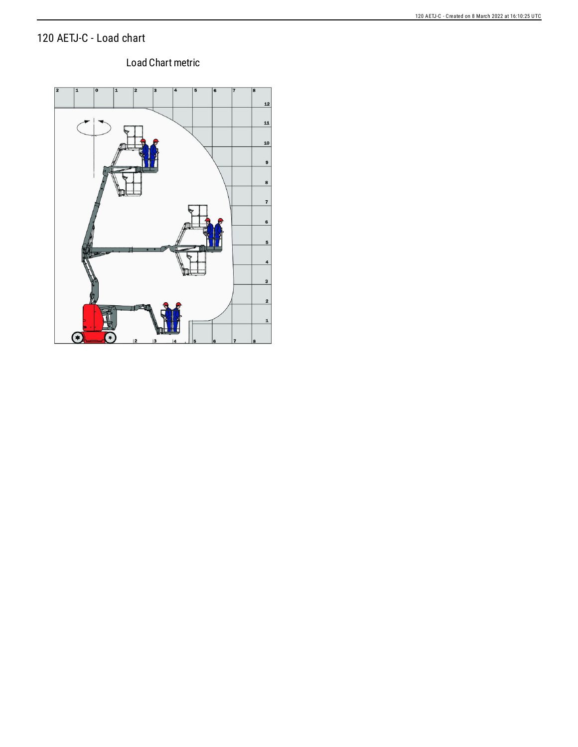## 120 AETJ-C - Load chart

## Load Chart metric

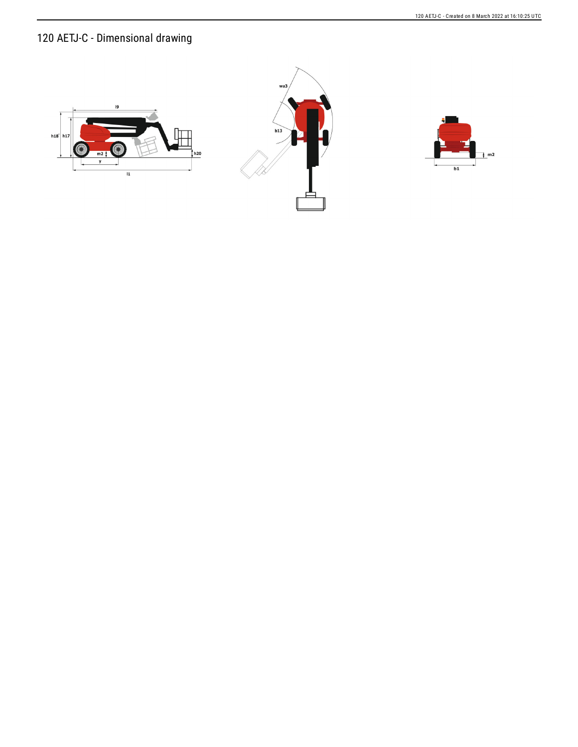120 AETJ-C - Dimensional drawing





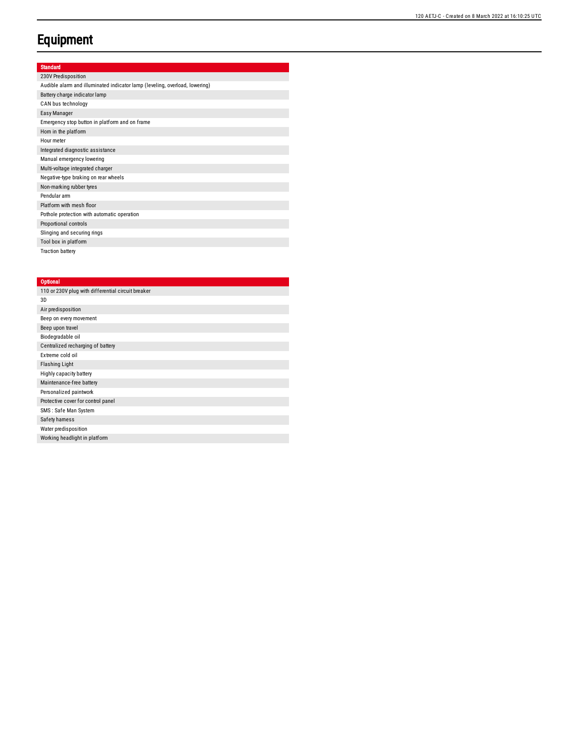# **Equipment**

### Standard

| 230V Predisposition                                                         |
|-----------------------------------------------------------------------------|
| Audible alarm and illuminated indicator lamp (leveling, overload, lowering) |
| Battery charge indicator lamp                                               |
| CAN bus technology                                                          |
| Easy Manager                                                                |
| Emergency stop button in platform and on frame                              |
| Horn in the platform                                                        |
| Hour meter                                                                  |
| Integrated diagnostic assistance                                            |
| Manual emergency lowering                                                   |
| Multi-voltage integrated charger                                            |
| Negative-type braking on rear wheels                                        |
| Non-marking rubber tyres                                                    |
| Pendular arm                                                                |
| Platform with mesh floor                                                    |
| Pothole protection with automatic operation                                 |
| Proportional controls                                                       |
| Slinging and securing rings                                                 |
| Tool box in platform                                                        |
| <b>Traction battery</b>                                                     |

#### **Optional**

| 110 or 230V plug with differential circuit breaker |
|----------------------------------------------------|
| 3D                                                 |
| Air predisposition                                 |
| Beep on every movement                             |
| Beep upon travel                                   |
| Biodegradable oil                                  |
| Centralized recharging of battery                  |
| Extreme cold oil                                   |
| <b>Flashing Light</b>                              |
| Highly capacity battery                            |
| Maintenance-free battery                           |
| Personalized paintwork                             |
| Protective cover for control panel                 |
| SMS: Safe Man System                               |
| Safety hamess                                      |
| Water predisposition                               |
| Working headlight in platform                      |
|                                                    |